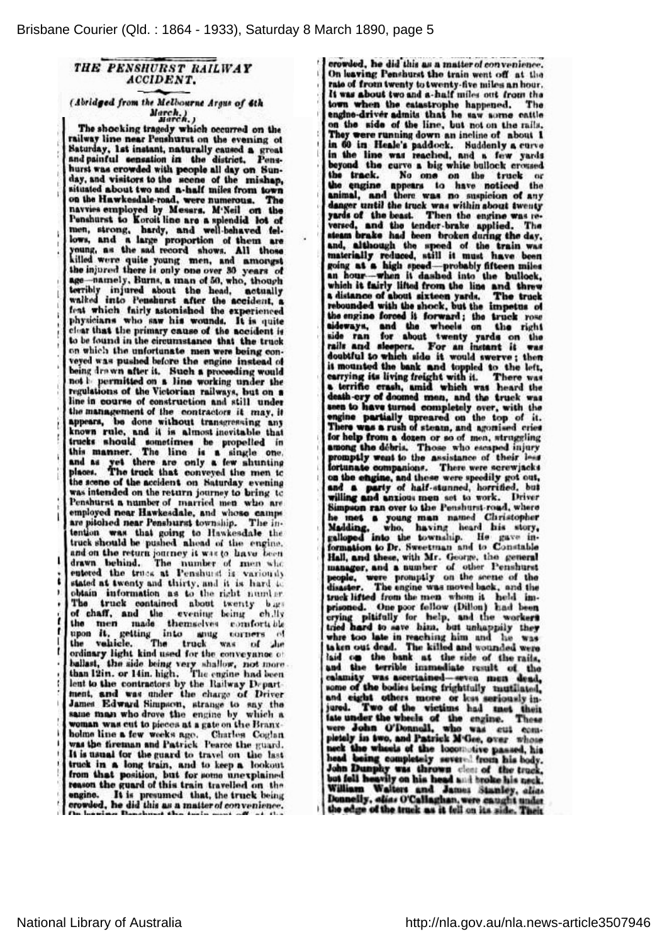## THE PENSHURST RAILWAY ACCIDENT.

(Abridged from the Melbourne Argus of 6th ¿Maren.j

Tho shocking tragedy which occurred on the railway lino noar Penshurst on tho evening ol Saturday, 1st instant, naturally cnusod <sup>a</sup> great and painful sensation in the district. Penshurst was crowded with people all day on Sunday, and visitors to tho scono of tho mishap, situated about two nod n-hnlf miles from town on the Hawkesdale-road, were numerous. The navvies employed by Messrs. M'Noil on tho Ponshurst to Koroit lino aro <sup>n</sup> splendid lot of mon, strong, hardy, and well-behaved fellows, and a large proportion of them ar young, as the sad record shows. All those killed were quite young men, and amongst tho injured there is only ona over <sup>80</sup> years of age-namely, Burns, a man of 50, who, though terribly injured about tho head, actually walked into Penshurst after tho accident, <sup>a</sup> feat which fairly astonished tho experienced physicians who saw his wounds. It is quite cluar that tho primary cnuso of tho accident is to be found in the circumstance that the truck on which the unfortunate men were being conveyed was pushed before the engine instead of being drawn after it. Such a proceeding would not *l*ipermitted on a line working under the regulations of tho Victorian railways, but on <sup>a</sup> line in course of construction and still under the management of the contractors it may, it appears, bo dono without transgressing anj known rule, and it is almost inevitable that trucks should somotimes bo propelled in this manner. The line is a single one and as yet there are only a few shunting places. The truck that conveyed the men to the scene of the accident on Saturday evening was intended on the return journey to bring to Penshurst <sup>a</sup> number of married mon who are employed near Hawkesdale, and whoso camps are pitched near Penshurst township. The intention was that going to Hawkesdale the truck should be pushed ahead of the engine and on the return journey it was to have been drawn behind. The number of men who entered the truck at Penshurst is variousl stated at twenty and thirty, and it is hard to obtain information as to tho right numl er. The truck contained about twenty b ig of chaff, and the evening being ch, Hy the men made themselves comforttbl upon it, getting into anug corners of<br>the vehicle. The truck was of the<br>ordinary light kind used for the conveynnoc of ballast, the side being very shallow, not more than 12in. or 14in. high. The engine had been lent to the contractors by the Railway Department, and was under the chargo of Driver James Edward Simpson, strange to say the same man who drove the engine by which a woman was cut to pieces at a gate on the Branxholme line a few weeks ago. Charles Coglan was the fireman and Patrick Pearce the guard It is usual for tho guard to travel on tho last truck in <sup>a</sup> long train, and to keep <sup>a</sup> lookout from that position, but for some unexplained reason the guard of this train travelled on the engine. It is presumed that, the truck being<br>crowded, he did this as a matter of convenience.

crowded, he did this as a matter of convenience. On leaving Penshurst the train went off at the rate of from twenty to twenty-five miles an hour. It was about two and a-half miles out from the<br>town when the catastrophe happened. The town when the catastrophe happened. engino-driver admits that he saw some cattle on tho sida of the line, but not on tho rails. They were running down an incline of about 1 in 60 in Heale's paddock. Suddenly a curv in the lino wns reached, and <sup>a</sup> few yards beyond the curve a big white bullock crossed the track. No one on the truck or the engine appears to have noticed the animal, and thoro was no suspioion of any danger until the truck was within about twenty yards of the beast. Then the engine was reversed, and the tender-brake applied. The steam bruko had hoon broken during tho day, and, although the speed of the train was materially roduccd, still it must havo been going at a high speed-probably fifteen mile an hour-when it dashed into the bullock which it fairly lifted from the line and threw a distance of about sixteen yards. The truck a distance of about sixteen yards. The truck rebounded with the shock, but the impetus of the engine forced it forward; the truck rose sideways, and tho wheels on the right side ran for about twenty yards on the rails and sleepers. For an instant it was doubtful to which side it would swerve ; then it mounted tho bank and toppled to tho loft, carrying its living freight with it. There w <sup>a</sup> terrine crash, amid which was heard the death-cry of doomed men, and the truck w seen to have turned completely over, with the engine partially upreared on the top of it. There was a rush of steam, and agonised crie for help from a dozen or so of men, strugglin among tho débris. Thoso who oscuped injury promptly went to the assistance of their less fortunate companions. There were screwjacks on the engine, and these were speedily got out, and <sup>a</sup> party of half-stunned, horrified, but willing and anxious men sot to work. Drive Simpson ran over to the Peushurst-road, whero ho met <sup>a</sup> young man named Christopher Madding, who, having heard his story, galloped into tho township. He gave information to Dr. Sweetman and to Constable Hall, and these, with Mr. George, tho general manager, and <sup>a</sup> number of other Penshurst people, wero promptly on the scene of tho disaster. The engine was moved buok, and the truck lifted from tho men whom it held imprisoned. One poor fellow (Dillon) had been crying pitifully for help, and the workers tried hard to save him, but unhappily they' whre too late in reaching him and he ws taken out dead. The killed and wounded wer laid on the bank at the side of the rails and the terrible immediato result of tho calamity was ascertained-seven men dead, some of the bodies being frightfully mutilated, and eight others more or less seriously injured. Two of the victims had met their late under the wheels of the engine. These were John O'Donnell, who was cut com pletely in two, and Patrick M'Gee, over whose neck the wheels of the locomotive passed, his head being completely seven 1 from his body. John Dunphy was thrown clem of the truck, but fell heavily on his head and broke his neck. William Walters and James Stanley, aliar. Donnelly, «lia« O'Callaghan, wero caught undei the of the truck as it fell on its side.